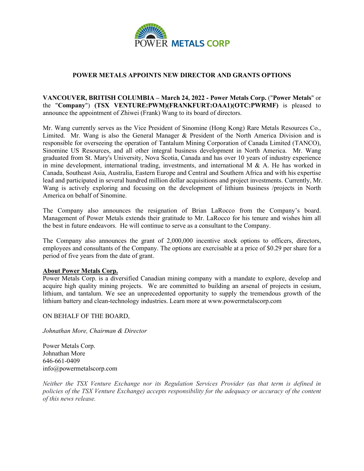

## **POWER METALS APPOINTS NEW DIRECTOR AND GRANTS OPTIONS**

## **VANCOUVER, BRITISH COLUMBIA – March 24, 2022 - Power Metals Corp.** ("**Power Metals**" or the "**Company**") **(TSX VENTURE:PWM)(FRANKFURT:OAA1)(OTC:PWRMF)** is pleased to announce the appointment of Zhiwei (Frank) Wang to its board of directors.

Mr. Wang currently serves as the Vice President of Sinomine (Hong Kong) Rare Metals Resources Co., Limited. Mr. Wang is also the General Manager & President of the North America Division and is responsible for overseeing the operation of Tantalum Mining Corporation of Canada Limited (TANCO), Sinomine US Resources, and all other integral business development in North America. Mr. Wang graduated from St. Mary's University, Nova Scotia, Canada and has over 10 years of industry experience in mine development, international trading, investments, and international M  $\&$  A. He has worked in Canada, Southeast Asia, Australia, Eastern Europe and Central and Southern Africa and with his expertise lead and participated in several hundred million dollar acquisitions and project investments. Currently, Mr. Wang is actively exploring and focusing on the development of lithium business /projects in North America on behalf of Sinomine.

The Company also announces the resignation of Brian LaRocco from the Company's board. Management of Power Metals extends their gratitude to Mr. LaRocco for his tenure and wishes him all the best in future endeavors. He will continue to serve as a consultant to the Company.

The Company also announces the grant of 2,000,000 incentive stock options to officers, directors, employees and consultants of the Company. The options are exercisable at a price of \$0.29 per share for a period of five years from the date of grant.

## **About Power Metals Corp.**

Power Metals Corp. is a diversified Canadian mining company with a mandate to explore, develop and acquire high quality mining projects. We are committed to building an arsenal of projects in cesium, lithium, and tantalum. We see an unprecedented opportunity to supply the tremendous growth of the lithium battery and clean-technology industries. Learn more at www.powermetalscorp.com

ON BEHALF OF THE BOARD,

*Johnathan More, Chairman & Director*

Power Metals Corp. Johnathan More 646-661-0409 info@powermetalscorp.com

*Neither the TSX Venture Exchange nor its Regulation Services Provider (as that term is defined in policies of the TSX Venture Exchange) accepts responsibility for the adequacy or accuracy of the content of this news release.*